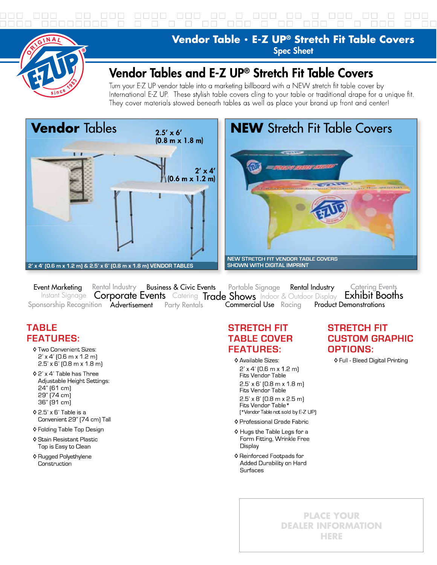

Vendor Table . E-Z UP<sup>®</sup> Stretch Fit Table Covers **Spec Sheet** 

#### Vendor Tables and E-Z UP® Stretch Fit Table Covers

Turn your E-Z UP vendor table into a marketing billboard with a NEW stretch fit table cover by International E-Z UP. These stylish table covers cling to your table or traditional drape for a unique fit. They cover materials stowed beneath tables as well as place your brand up front and center!



## **NEW** Stretch Fit Table Covers **DEAN** NEW STRETCH FIT VENDOR TABLE COVERS **SHOWN WITH DIGITAL IMPRINT**

Event Marketina Rental Industry Business & Civic Events Rental Industry **Catering Events** Portable Signage Instant Signage Corporate Events Catering Trade Shows Indoor & Outdoor Display Exhibit Booths Sponsorship Recognition Advertisement Party Rentals **Commercial Use** Racing **Product Demonstrations** 

#### **TABLE FEATURES:**

- ♦ Two Convenient Sizes:  $2'$  x 4' (0.6 m x 1.2 m)  $2.5'$  x 6' (0.8 m x 1.8 m)
- ♦ 2' x 4' Table has Three Adjustable Height Settings: 24" [61 cm] 29" (74 cm) 36" [91 cm]
- $\Diamond$  2.5' x 6' Table is a Convenient 29" [74 cm] Tall
- ♦ Folding Table Top Design
- ♦ Stain Resistant Plastic Top is Easy to Clean
- ♦ Rugged Polyethylene Construction

#### **STRETCH FIT TABLE COVER FEATURES:**

- ♦ Available Sizes:  $2'$  x 4' (0.6 m x 1.2 m) Fits Vendor Table  $2.5'$  x 6' (0.8 m x 1.8 m) Fits Vendor Table  $2.5'$  x 8' (0.8 m x 2.5 m) Fits Vendor Table\* [\*Vendor Table not sold by E-Z UP]
- ♦ Professional Grade Fabric
- ♦ Hugs the Table Legs for a Form Fitting, Wrinkle Free Display
- ♦ Reinforced Footpads for Added Durability on Hard **Surfaces**

#### **STRETCH FIT CUSTOM GRAPHIC OPTIONS:**

♦ Full - Bleed Digital Printing

**PLACE YOUR DEALER INFORMATION** HERE